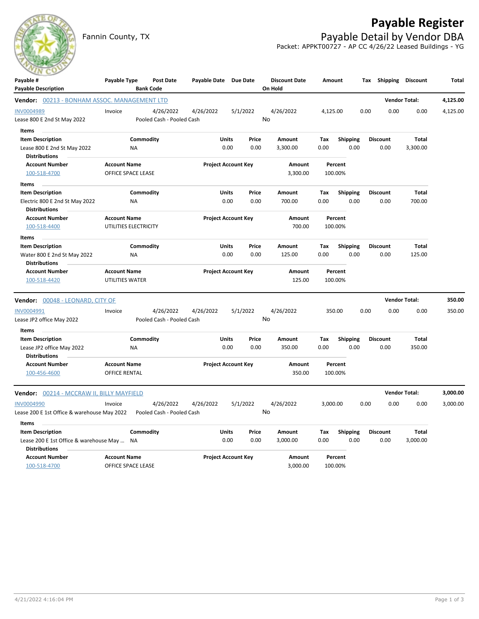

Fannin County, TX **Payable Detail by Vendor DBA** 



Packet: APPKT00727 - AP CC 4/26/22 Leased Buildings - YG

| Payable #<br><b>Payable Description</b>                          | Payable Type                              | <b>Bank Code</b> | <b>Post Date</b>                       | Payable Date Due Date      |              |                            | <b>Discount Date</b><br>On Hold | Amount   |                         | Tax  | Shipping             | <b>Discount</b>      | <b>Total</b> |
|------------------------------------------------------------------|-------------------------------------------|------------------|----------------------------------------|----------------------------|--------------|----------------------------|---------------------------------|----------|-------------------------|------|----------------------|----------------------|--------------|
| <b>Vendor:</b> 00213 - BONHAM ASSOC. MANAGEMENT LTD              |                                           |                  |                                        |                            |              |                            |                                 |          |                         |      | <b>Vendor Total:</b> |                      | 4,125.00     |
| <b>INV0004989</b>                                                | Invoice                                   |                  | 4/26/2022                              | 4/26/2022                  |              | 5/1/2022                   | 4/26/2022                       | 4,125.00 |                         | 0.00 | 0.00                 | 0.00                 | 4,125.00     |
| Lease 800 E 2nd St May 2022                                      |                                           |                  | Pooled Cash - Pooled Cash              |                            |              |                            | No                              |          |                         |      |                      |                      |              |
| Items                                                            |                                           |                  |                                        |                            |              |                            |                                 |          |                         |      |                      |                      |              |
| <b>Item Description</b>                                          |                                           | Commodity        |                                        |                            | Units        | Price                      | Amount                          | Tax      | <b>Shipping</b>         |      | <b>Discount</b>      | <b>Total</b>         |              |
| Lease 800 E 2nd St May 2022                                      | <b>NA</b>                                 |                  |                                        |                            | 0.00         | 0.00                       | 3,300.00                        | 0.00     | 0.00                    |      | 0.00                 | 3,300.00             |              |
| <b>Distributions</b>                                             |                                           |                  |                                        |                            |              |                            |                                 |          |                         |      |                      |                      |              |
| <b>Account Number</b><br>100-518-4700                            | <b>Account Name</b><br>OFFICE SPACE LEASE |                  |                                        |                            |              | <b>Project Account Key</b> | Amount<br>3,300.00              |          | Percent<br>100.00%      |      |                      |                      |              |
|                                                                  |                                           |                  |                                        |                            |              |                            |                                 |          |                         |      |                      |                      |              |
| Items<br><b>Item Description</b>                                 |                                           | Commodity        |                                        |                            | Units        | Price                      | Amount                          | Tax      |                         |      | <b>Discount</b>      | <b>Total</b>         |              |
| Electric 800 E 2nd St May 2022                                   | ΝA                                        |                  |                                        |                            | 0.00         | 0.00                       | 700.00                          | 0.00     | <b>Shipping</b><br>0.00 |      | 0.00                 | 700.00               |              |
| <b>Distributions</b>                                             |                                           |                  |                                        |                            |              |                            |                                 |          |                         |      |                      |                      |              |
| <b>Account Number</b>                                            | <b>Account Name</b>                       |                  |                                        | <b>Project Account Key</b> |              | Amount                     |                                 | Percent  |                         |      |                      |                      |              |
| 100-518-4400                                                     | UTILITIES ELECTRICITY                     |                  |                                        |                            |              |                            | 700.00                          |          | 100.00%                 |      |                      |                      |              |
| <b>Items</b>                                                     |                                           |                  |                                        |                            |              |                            |                                 |          |                         |      |                      |                      |              |
| <b>Item Description</b>                                          |                                           | Commodity        |                                        |                            | Units        | Price                      | Amount                          | Tax      | <b>Shipping</b>         |      | <b>Discount</b>      | Total                |              |
| Water 800 E 2nd St May 2022                                      | NA                                        |                  |                                        |                            | 0.00         | 0.00                       | 125.00                          | 0.00     | 0.00                    |      | 0.00                 | 125.00               |              |
| <b>Distributions</b>                                             |                                           |                  |                                        |                            |              |                            |                                 |          |                         |      |                      |                      |              |
| <b>Account Number</b>                                            | <b>Account Name</b>                       |                  |                                        |                            |              | <b>Project Account Key</b> | Amount                          |          | Percent                 |      |                      |                      |              |
| 100-518-4420                                                     | UTILITIES WATER                           |                  |                                        |                            |              |                            | 125.00                          |          | 100.00%                 |      |                      |                      |              |
| <b>Vendor:</b> 00048 - LEONARD, CITY OF                          |                                           |                  |                                        |                            |              |                            |                                 |          |                         |      |                      | <b>Vendor Total:</b> | 350.00       |
| INV0004991                                                       | Invoice                                   |                  | 4/26/2022                              | 4/26/2022                  |              | 5/1/2022                   | 4/26/2022                       |          | 350.00                  | 0.00 | 0.00                 | 0.00                 | 350.00       |
| Lease JP2 office May 2022                                        |                                           |                  | Pooled Cash - Pooled Cash              |                            |              |                            | No                              |          |                         |      |                      |                      |              |
| Items                                                            |                                           |                  |                                        |                            |              |                            |                                 |          |                         |      |                      |                      |              |
| <b>Item Description</b>                                          |                                           | Commodity        |                                        |                            | <b>Units</b> | Price                      | Amount                          | Tax      | <b>Shipping</b>         |      | <b>Discount</b>      | <b>Total</b>         |              |
| Lease JP2 office May 2022<br><b>Distributions</b>                | ΝA                                        |                  |                                        |                            | 0.00         | 0.00                       | 350.00                          | 0.00     | 0.00                    |      | 0.00                 | 350.00               |              |
| <b>Account Number</b>                                            | <b>Account Name</b>                       |                  |                                        |                            |              | <b>Project Account Key</b> | Amount                          |          | Percent                 |      |                      |                      |              |
| 100-456-4600                                                     | <b>OFFICE RENTAL</b>                      |                  |                                        |                            |              |                            | 350.00                          |          | 100.00%                 |      |                      |                      |              |
| <b>Vendor:</b> 00214 - MCCRAW II, BILLY MAYFIELD                 |                                           |                  |                                        |                            |              |                            |                                 |          |                         |      |                      | <b>Vendor Total:</b> | 3,000.00     |
|                                                                  |                                           |                  |                                        |                            |              |                            |                                 |          |                         |      |                      |                      |              |
| <b>INV0004990</b><br>Lease 200 E 1st Office & warehouse May 2022 | Invoice                                   |                  | 4/26/2022<br>Pooled Cash - Pooled Cash | 4/26/2022                  |              | 5/1/2022                   | 4/26/2022<br>No                 | 3,000.00 |                         | 0.00 | 0.00                 | 0.00                 | 3,000.00     |
|                                                                  |                                           |                  |                                        |                            |              |                            |                                 |          |                         |      |                      |                      |              |
| Items<br><b>Item Description</b>                                 |                                           | Commodity        |                                        |                            | Units        | Price                      | Amount                          | Tax      | <b>Shipping</b>         |      | <b>Discount</b>      | Total                |              |
| Lease 200 E 1st Office & warehouse May  NA                       |                                           |                  |                                        |                            | 0.00         | 0.00                       | 3,000.00                        | 0.00     | 0.00                    |      | 0.00                 | 3,000.00             |              |
| <b>Distributions</b>                                             |                                           |                  |                                        |                            |              |                            |                                 |          |                         |      |                      |                      |              |
|                                                                  |                                           |                  |                                        |                            |              |                            |                                 |          |                         |      |                      |                      |              |

| <b>Account Number</b> | <b>Account Name</b>       | <b>Project Account Key</b> | Amount   | Percent |
|-----------------------|---------------------------|----------------------------|----------|---------|
| 100-518-4700          | <b>OFFICE SPACE LEASE</b> |                            | 3.000.00 | 100.00% |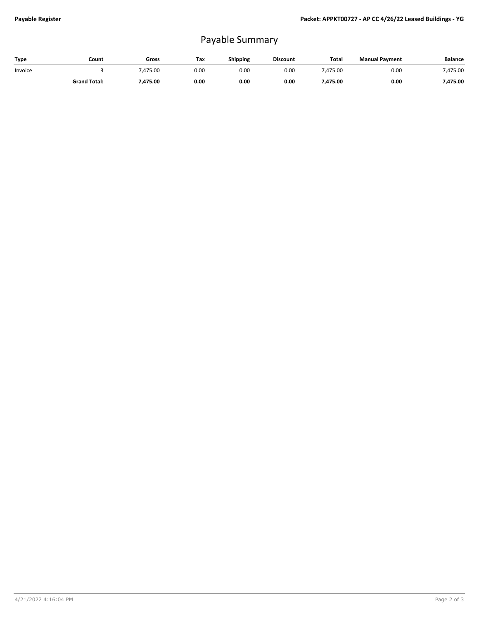## Payable Summary

| Type    | Count               | Gross  | Tax  | <b>Shipping</b> | <b>Discount</b> | <b>Total</b> | <b>Manual Payment</b> | <b>Balance</b> |
|---------|---------------------|--------|------|-----------------|-----------------|--------------|-----------------------|----------------|
| Invoice |                     | 475.00 | 0.00 | 0.OC            | 0.00            | 475.00       | 0.00                  | 475.00         |
|         | <b>Grand Total:</b> | 475.00 | 0.00 | 0.00            | 0.00            | /.475.00     | 0.00                  | 475.00         |